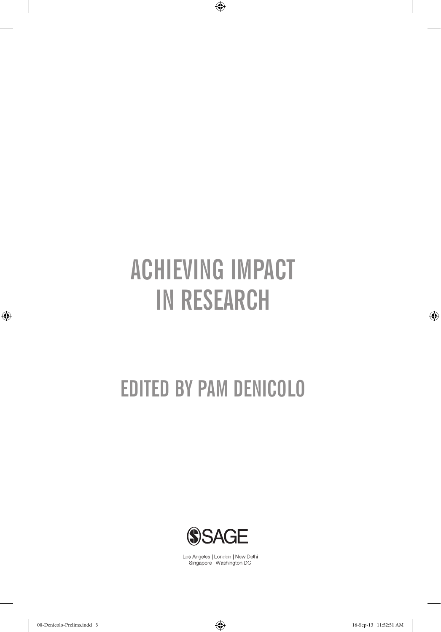⊕

# **EDITED BY PAM DENICOLO**



Los Angeles | London | New Delhi<br>Singapore | Washington DC

⊕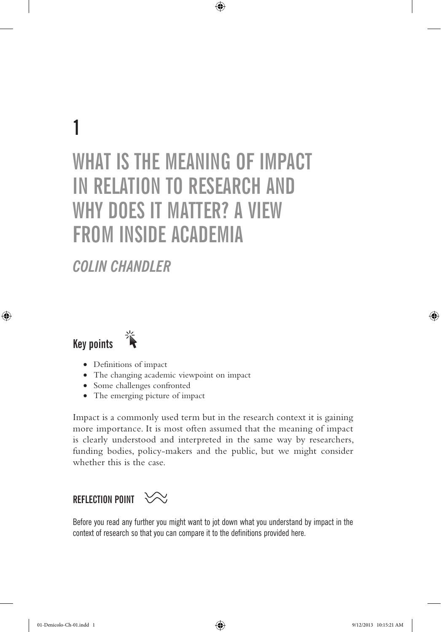# **1 WHAT IS THE MEANING OF IMPACT IN RELATION TO RESEARCH AND WHY DOES IT MATTER? A VIEW FROM INSIDE ACADEMIA**

⊕

## *COLIN CHANDLER*



◈

- Definitions of impact
- The changing academic viewpoint on impact
- Some challenges confronted
- The emerging picture of impact

Impact is a commonly used term but in the research context it is gaining more importance. It is most often assumed that the meaning of impact is clearly understood and interpreted in the same way by researchers, funding bodies, policy-makers and the public, but we might consider whether this is the case.

### REFLECTION POINT  $\forall$

Before you read any further you might want to jot down what you understand by impact in the context of research so that you can compare it to the definitions provided here.

◈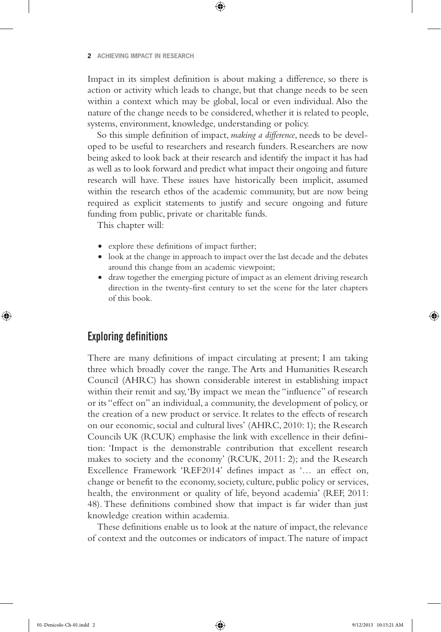Impact in its simplest definition is about making a difference, so there is action or activity which leads to change, but that change needs to be seen within a context which may be global, local or even individual. Also the nature of the change needs to be considered, whether it is related to people, systems, environment, knowledge, understanding or policy.

⊕

So this simple definition of impact, *making a difference*, needs to be developed to be useful to researchers and research funders. Researchers are now being asked to look back at their research and identify the impact it has had as well as to look forward and predict what impact their ongoing and future research will have. These issues have historically been implicit, assumed within the research ethos of the academic community, but are now being required as explicit statements to justify and secure ongoing and future funding from public, private or charitable funds.

This chapter will:

- • explore these definitions of impact further;
- look at the change in approach to impact over the last decade and the debates around this change from an academic viewpoint;
- draw together the emerging picture of impact as an element driving research direction in the twenty-first century to set the scene for the later chapters of this book.

### **Exploring definitions**

There are many definitions of impact circulating at present; I am taking three which broadly cover the range. The Arts and Humanities Research Council (AHRC) has shown considerable interest in establishing impact within their remit and say, 'By impact we mean the "influence" of research or its "effect on" an individual, a community, the development of policy, or the creation of a new product or service. It relates to the effects of research on our economic, social and cultural lives' (AHRC, 2010: 1); the Research Councils UK (RCUK) emphasise the link with excellence in their definition: 'Impact is the demonstrable contribution that excellent research makes to society and the economy' (RCUK, 2011: 2); and the Research Excellence Framework 'REF2014' defines impact as '… an effect on, change or benefit to the economy, society, culture, public policy or services, health, the environment or quality of life, beyond academia' (REF, 2011: 48). These definitions combined show that impact is far wider than just knowledge creation within academia.

These definitions enable us to look at the nature of impact, the relevance of context and the outcomes or indicators of impact. The nature of impact

◈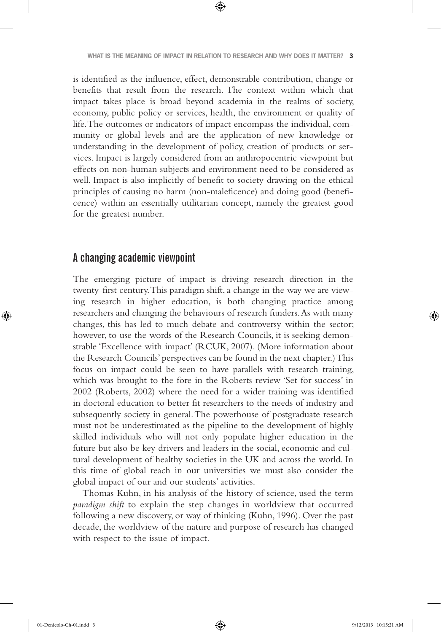is identified as the influence, effect, demonstrable contribution, change or benefits that result from the research. The context within which that impact takes place is broad beyond academia in the realms of society, economy, public policy or services, health, the environment or quality of life. The outcomes or indicators of impact encompass the individual, community or global levels and are the application of new knowledge or understanding in the development of policy, creation of products or services. Impact is largely considered from an anthropocentric viewpoint but effects on non-human subjects and environment need to be considered as well. Impact is also implicitly of benefit to society drawing on the ethical principles of causing no harm (non-maleficence) and doing good (beneficence) within an essentially utilitarian concept, namely the greatest good for the greatest number.

#### **A changing academic viewpoint**

The emerging picture of impact is driving research direction in the twenty-first century. This paradigm shift, a change in the way we are viewing research in higher education, is both changing practice among researchers and changing the behaviours of research funders. As with many changes, this has led to much debate and controversy within the sector; however, to use the words of the Research Councils, it is seeking demonstrable 'Excellence with impact' (RCUK, 2007). (More information about the Research Councils' perspectives can be found in the next chapter.) This focus on impact could be seen to have parallels with research training, which was brought to the fore in the Roberts review 'Set for success' in 2002 (Roberts, 2002) where the need for a wider training was identified in doctoral education to better fit researchers to the needs of industry and subsequently society in general. The powerhouse of postgraduate research must not be underestimated as the pipeline to the development of highly skilled individuals who will not only populate higher education in the future but also be key drivers and leaders in the social, economic and cultural development of healthy societies in the UK and across the world. In this time of global reach in our universities we must also consider the global impact of our and our students' activities.

Thomas Kuhn, in his analysis of the history of science, used the term *paradigm shift* to explain the step changes in worldview that occurred following a new discovery, or way of thinking (Kuhn, 1996). Over the past decade, the worldview of the nature and purpose of research has changed with respect to the issue of impact.

◈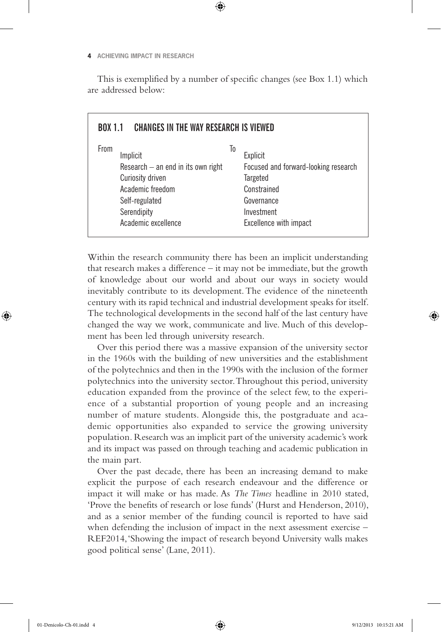This is exemplified by a number of specific changes (see Box 1.1) which are addressed below:

⊕

| <b>CHANGES IN THE WAY RESEARCH IS VIEWED</b><br><b>BOX 1.1</b> |                                                                                                                                                  |    |                                                                                                                                   |
|----------------------------------------------------------------|--------------------------------------------------------------------------------------------------------------------------------------------------|----|-----------------------------------------------------------------------------------------------------------------------------------|
| From                                                           | Implicit<br>Research $-$ an end in its own right<br>Curiosity driven<br>Academic freedom<br>Self-regulated<br>Serendipity<br>Academic excellence | To | Explicit<br>Focused and forward-looking research<br>Targeted<br>Constrained<br>Governance<br>Investment<br>Excellence with impact |

Within the research community there has been an implicit understanding that research makes a difference  $-$  it may not be immediate, but the growth of knowledge about our world and about our ways in society would inevitably contribute to its development. The evidence of the nineteenth century with its rapid technical and industrial development speaks for itself. The technological developments in the second half of the last century have changed the way we work, communicate and live. Much of this development has been led through university research.

Over this period there was a massive expansion of the university sector in the 1960s with the building of new universities and the establishment of the polytechnics and then in the 1990s with the inclusion of the former polytechnics into the university sector. Throughout this period, university education expanded from the province of the select few, to the experience of a substantial proportion of young people and an increasing number of mature students. Alongside this, the postgraduate and academic opportunities also expanded to service the growing university population. Research was an implicit part of the university academic's work and its impact was passed on through teaching and academic publication in the main part.

Over the past decade, there has been an increasing demand to make explicit the purpose of each research endeavour and the difference or impact it will make or has made. As *The Times* headline in 2010 stated, 'Prove the benefits of research or lose funds' (Hurst and Henderson, 2010), and as a senior member of the funding council is reported to have said when defending the inclusion of impact in the next assessment exercise – REF2014, 'Showing the impact of research beyond University walls makes good political sense' (Lane, 2011).

◈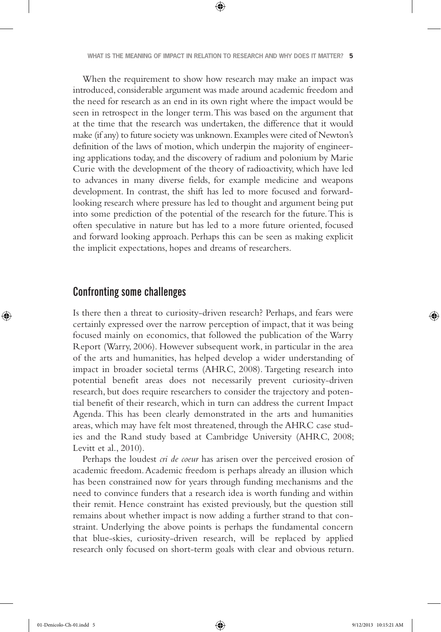When the requirement to show how research may make an impact was introduced, considerable argument was made around academic freedom and the need for research as an end in its own right where the impact would be seen in retrospect in the longer term. This was based on the argument that at the time that the research was undertaken, the difference that it would make (if any) to future society was unknown. Examples were cited of Newton's definition of the laws of motion, which underpin the majority of engineering applications today, and the discovery of radium and polonium by Marie Curie with the development of the theory of radioactivity, which have led to advances in many diverse fields, for example medicine and weapons development. In contrast, the shift has led to more focused and forwardlooking research where pressure has led to thought and argument being put into some prediction of the potential of the research for the future. This is often speculative in nature but has led to a more future oriented, focused and forward looking approach. Perhaps this can be seen as making explicit the implicit expectations, hopes and dreams of researchers.

#### **Confronting some challenges**

Is there then a threat to curiosity-driven research? Perhaps, and fears were certainly expressed over the narrow perception of impact, that it was being focused mainly on economics, that followed the publication of the Warry Report (Warry, 2006). However subsequent work, in particular in the area of the arts and humanities, has helped develop a wider understanding of impact in broader societal terms (AHRC, 2008). Targeting research into potential benefit areas does not necessarily prevent curiosity-driven research, but does require researchers to consider the trajectory and potential benefit of their research, which in turn can address the current Impact Agenda. This has been clearly demonstrated in the arts and humanities areas, which may have felt most threatened, through the AHRC case studies and the Rand study based at Cambridge University (AHRC, 2008; Levitt et al., 2010).

Perhaps the loudest *cri de coeur* has arisen over the perceived erosion of academic freedom. Academic freedom is perhaps already an illusion which has been constrained now for years through funding mechanisms and the need to convince funders that a research idea is worth funding and within their remit. Hence constraint has existed previously, but the question still remains about whether impact is now adding a further strand to that constraint. Underlying the above points is perhaps the fundamental concern that blue-skies, curiosity-driven research, will be replaced by applied research only focused on short-term goals with clear and obvious return.

◈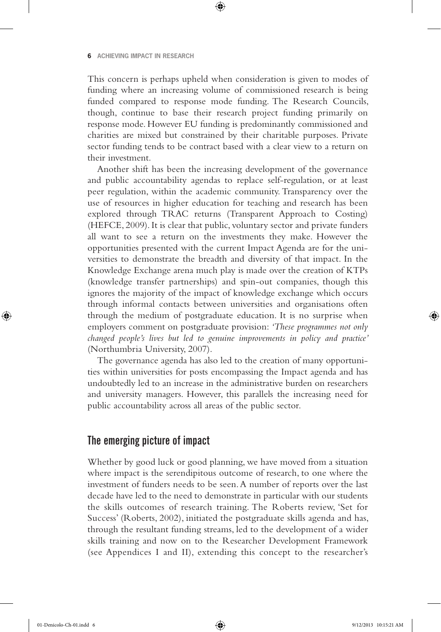This concern is perhaps upheld when consideration is given to modes of funding where an increasing volume of commissioned research is being funded compared to response mode funding. The Research Councils, though, continue to base their research project funding primarily on response mode. However EU funding is predominantly commissioned and charities are mixed but constrained by their charitable purposes. Private sector funding tends to be contract based with a clear view to a return on their investment.

⊕

Another shift has been the increasing development of the governance and public accountability agendas to replace self-regulation, or at least peer regulation, within the academic community. Transparency over the use of resources in higher education for teaching and research has been explored through TRAC returns (Transparent Approach to Costing) (HEFCE, 2009). It is clear that public, voluntary sector and private funders all want to see a return on the investments they make. However the opportunities presented with the current Impact Agenda are for the universities to demonstrate the breadth and diversity of that impact. In the Knowledge Exchange arena much play is made over the creation of KTPs (knowledge transfer partnerships) and spin-out companies, though this ignores the majority of the impact of knowledge exchange which occurs through informal contacts between universities and organisations often through the medium of postgraduate education. It is no surprise when employers comment on postgraduate provision: *'These programmes not only changed people's lives but led to genuine improvements in policy and practice'*  (Northumbria University, 2007).

The governance agenda has also led to the creation of many opportunities within universities for posts encompassing the Impact agenda and has undoubtedly led to an increase in the administrative burden on researchers and university managers. However, this parallels the increasing need for public accountability across all areas of the public sector.

### **The emerging picture of impact**

Whether by good luck or good planning, we have moved from a situation where impact is the serendipitous outcome of research, to one where the investment of funders needs to be seen. A number of reports over the last decade have led to the need to demonstrate in particular with our students the skills outcomes of research training. The Roberts review, 'Set for Success' (Roberts, 2002), initiated the postgraduate skills agenda and has, through the resultant funding streams, led to the development of a wider skills training and now on to the Researcher Development Framework (see Appendices I and II), extending this concept to the researcher's

◈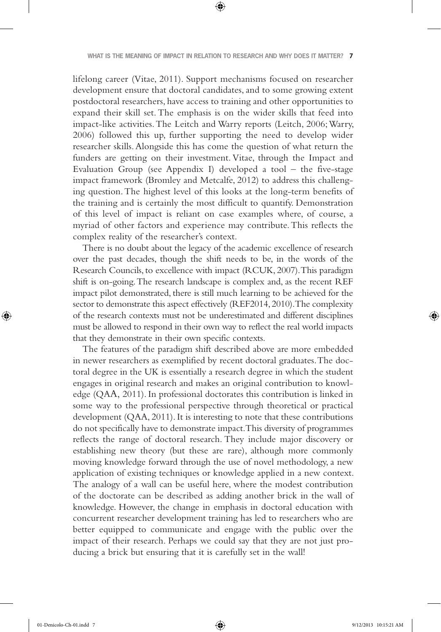lifelong career (Vitae, 2011). Support mechanisms focused on researcher development ensure that doctoral candidates, and to some growing extent postdoctoral researchers, have access to training and other opportunities to expand their skill set. The emphasis is on the wider skills that feed into impact-like activities. The Leitch and Warry reports (Leitch, 2006; Warry, 2006) followed this up, further supporting the need to develop wider researcher skills. Alongside this has come the question of what return the funders are getting on their investment. Vitae, through the Impact and Evaluation Group (see Appendix I) developed a tool – the five-stage impact framework (Bromley and Metcalfe, 2012) to address this challenging question. The highest level of this looks at the long-term benefits of the training and is certainly the most difficult to quantify. Demonstration of this level of impact is reliant on case examples where, of course, a myriad of other factors and experience may contribute. This reflects the complex reality of the researcher's context.

There is no doubt about the legacy of the academic excellence of research over the past decades, though the shift needs to be, in the words of the Research Councils, to excellence with impact (RCUK, 2007). This paradigm shift is on-going. The research landscape is complex and, as the recent REF impact pilot demonstrated, there is still much learning to be achieved for the sector to demonstrate this aspect effectively (REF2014, 2010). The complexity of the research contexts must not be underestimated and different disciplines must be allowed to respond in their own way to reflect the real world impacts that they demonstrate in their own specific contexts.

The features of the paradigm shift described above are more embedded in newer researchers as exemplified by recent doctoral graduates. The doctoral degree in the UK is essentially a research degree in which the student engages in original research and makes an original contribution to knowledge (QAA, 2011). In professional doctorates this contribution is linked in some way to the professional perspective through theoretical or practical development (QAA, 2011). It is interesting to note that these contributions do not specifically have to demonstrate impact. This diversity of programmes reflects the range of doctoral research. They include major discovery or establishing new theory (but these are rare), although more commonly moving knowledge forward through the use of novel methodology, a new application of existing techniques or knowledge applied in a new context. The analogy of a wall can be useful here, where the modest contribution of the doctorate can be described as adding another brick in the wall of knowledge. However, the change in emphasis in doctoral education with concurrent researcher development training has led to researchers who are better equipped to communicate and engage with the public over the impact of their research. Perhaps we could say that they are not just producing a brick but ensuring that it is carefully set in the wall!

◈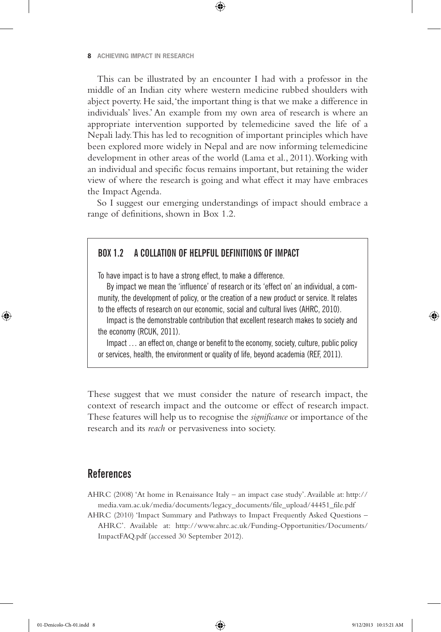This can be illustrated by an encounter I had with a professor in the middle of an Indian city where western medicine rubbed shoulders with abject poverty. He said, 'the important thing is that we make a difference in individuals' lives.' An example from my own area of research is where an appropriate intervention supported by telemedicine saved the life of a Nepali lady. This has led to recognition of important principles which have been explored more widely in Nepal and are now informing telemedicine development in other areas of the world (Lama et al., 2011). Working with an individual and specific focus remains important, but retaining the wider view of where the research is going and what effect it may have embraces the Impact Agenda.

⊕

So I suggest our emerging understandings of impact should embrace a range of definitions, shown in Box 1.2.

#### **BOX 1.2 A COLLATION OF HELPFUL DEFINITIONS OF IMPACT**

To have impact is to have a strong effect, to make a difference.

By impact we mean the 'influence' of research or its 'effect on' an individual, a community, the development of policy, or the creation of a new product or service. It relates to the effects of research on our economic, social and cultural lives (AHRC, 2010).

Impact is the demonstrable contribution that excellent research makes to society and the economy (RCUK, 2011).

Impact … an effect on, change or benefit to the economy, society, culture, public policy or services, health, the environment or quality of life, beyond academia (REF, 2011).

These suggest that we must consider the nature of research impact, the context of research impact and the outcome or effect of research impact. These features will help us to recognise the *significance* or importance of the research and its *reach* or pervasiveness into society.

#### **References**

- AHRC (2008) 'At home in Renaissance Italy an impact case study'. Available at: http:// media.vam.ac.uk/media/documents/legacy\_documents/file\_upload/44451\_file.pdf
- AHRC (2010) 'Impact Summary and Pathways to Impact Frequently Asked Questions AHRC'. Available at: http://www.ahrc.ac.uk/Funding-Opportunities/Documents/ ImpactFAQ.pdf (accessed 30 September 2012).

◈